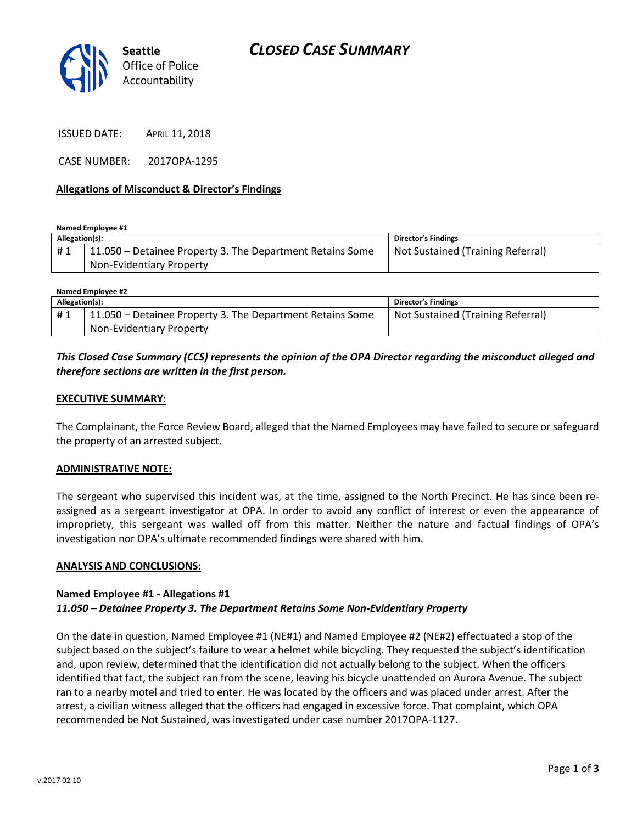

ISSUED DATE: APRIL 11, 2018

CASE NUMBER: 2017OPA-1295

#### **Allegations of Misconduct & Director's Findings**

**Named Employee #1**

| Allegation(s): |                                                           | Director's Findings               |
|----------------|-----------------------------------------------------------|-----------------------------------|
| #1             | 11.050 – Detainee Property 3. The Department Retains Some | Not Sustained (Training Referral) |
|                | Non-Evidentiary Property                                  |                                   |

| Named Employee #2 |                                                           |                                   |  |
|-------------------|-----------------------------------------------------------|-----------------------------------|--|
| Allegation(s):    |                                                           | Director's Findings               |  |
| #1                | 11.050 – Detainee Property 3. The Department Retains Some | Not Sustained (Training Referral) |  |
|                   | Non-Evidentiary Property                                  |                                   |  |

## *This Closed Case Summary (CCS) represents the opinion of the OPA Director regarding the misconduct alleged and therefore sections are written in the first person.*

#### **EXECUTIVE SUMMARY:**

The Complainant, the Force Review Board, alleged that the Named Employees may have failed to secure or safeguard the property of an arrested subject.

#### **ADMINISTRATIVE NOTE:**

The sergeant who supervised this incident was, at the time, assigned to the North Precinct. He has since been reassigned as a sergeant investigator at OPA. In order to avoid any conflict of interest or even the appearance of impropriety, this sergeant was walled off from this matter. Neither the nature and factual findings of OPA's investigation nor OPA's ultimate recommended findings were shared with him.

#### **ANALYSIS AND CONCLUSIONS:**

### **Named Employee #1 - Allegations #1** *11.050 – Detainee Property 3. The Department Retains Some Non-Evidentiary Property*

On the date in question, Named Employee #1 (NE#1) and Named Employee #2 (NE#2) effectuated a stop of the subject based on the subject's failure to wear a helmet while bicycling. They requested the subject's identification and, upon review, determined that the identification did not actually belong to the subject. When the officers identified that fact, the subject ran from the scene, leaving his bicycle unattended on Aurora Avenue. The subject ran to a nearby motel and tried to enter. He was located by the officers and was placed under arrest. After the arrest, a civilian witness alleged that the officers had engaged in excessive force. That complaint, which OPA recommended be Not Sustained, was investigated under case number 2017OPA-1127.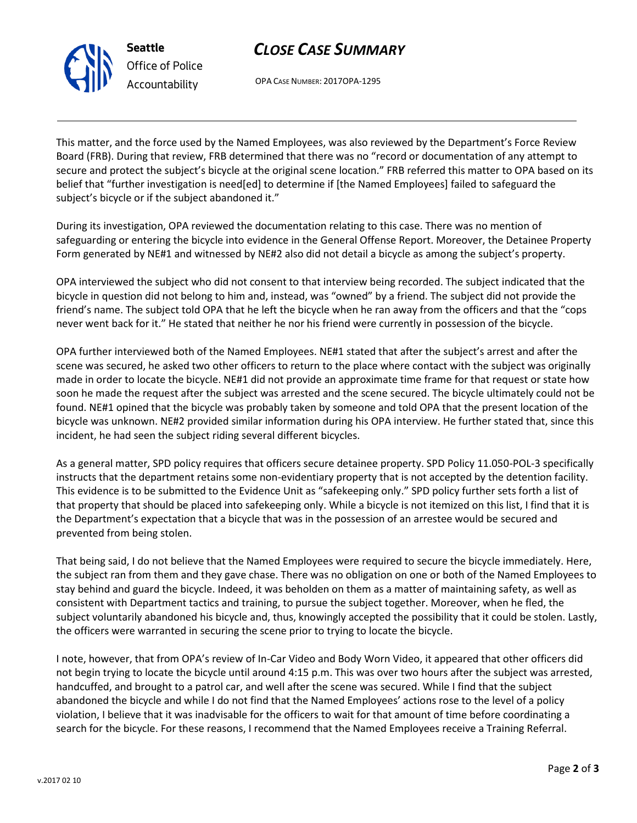# *CLOSE CASE SUMMARY*



OPA CASE NUMBER: 2017OPA-1295

This matter, and the force used by the Named Employees, was also reviewed by the Department's Force Review Board (FRB). During that review, FRB determined that there was no "record or documentation of any attempt to secure and protect the subject's bicycle at the original scene location." FRB referred this matter to OPA based on its belief that "further investigation is need[ed] to determine if [the Named Employees] failed to safeguard the subject's bicycle or if the subject abandoned it."

During its investigation, OPA reviewed the documentation relating to this case. There was no mention of safeguarding or entering the bicycle into evidence in the General Offense Report. Moreover, the Detainee Property Form generated by NE#1 and witnessed by NE#2 also did not detail a bicycle as among the subject's property.

OPA interviewed the subject who did not consent to that interview being recorded. The subject indicated that the bicycle in question did not belong to him and, instead, was "owned" by a friend. The subject did not provide the friend's name. The subject told OPA that he left the bicycle when he ran away from the officers and that the "cops never went back for it." He stated that neither he nor his friend were currently in possession of the bicycle.

OPA further interviewed both of the Named Employees. NE#1 stated that after the subject's arrest and after the scene was secured, he asked two other officers to return to the place where contact with the subject was originally made in order to locate the bicycle. NE#1 did not provide an approximate time frame for that request or state how soon he made the request after the subject was arrested and the scene secured. The bicycle ultimately could not be found. NE#1 opined that the bicycle was probably taken by someone and told OPA that the present location of the bicycle was unknown. NE#2 provided similar information during his OPA interview. He further stated that, since this incident, he had seen the subject riding several different bicycles.

As a general matter, SPD policy requires that officers secure detainee property. SPD Policy 11.050-POL-3 specifically instructs that the department retains some non-evidentiary property that is not accepted by the detention facility. This evidence is to be submitted to the Evidence Unit as "safekeeping only." SPD policy further sets forth a list of that property that should be placed into safekeeping only. While a bicycle is not itemized on this list, I find that it is the Department's expectation that a bicycle that was in the possession of an arrestee would be secured and prevented from being stolen.

That being said, I do not believe that the Named Employees were required to secure the bicycle immediately. Here, the subject ran from them and they gave chase. There was no obligation on one or both of the Named Employees to stay behind and guard the bicycle. Indeed, it was beholden on them as a matter of maintaining safety, as well as consistent with Department tactics and training, to pursue the subject together. Moreover, when he fled, the subject voluntarily abandoned his bicycle and, thus, knowingly accepted the possibility that it could be stolen. Lastly, the officers were warranted in securing the scene prior to trying to locate the bicycle.

I note, however, that from OPA's review of In-Car Video and Body Worn Video, it appeared that other officers did not begin trying to locate the bicycle until around 4:15 p.m. This was over two hours after the subject was arrested, handcuffed, and brought to a patrol car, and well after the scene was secured. While I find that the subject abandoned the bicycle and while I do not find that the Named Employees' actions rose to the level of a policy violation, I believe that it was inadvisable for the officers to wait for that amount of time before coordinating a search for the bicycle. For these reasons, I recommend that the Named Employees receive a Training Referral.